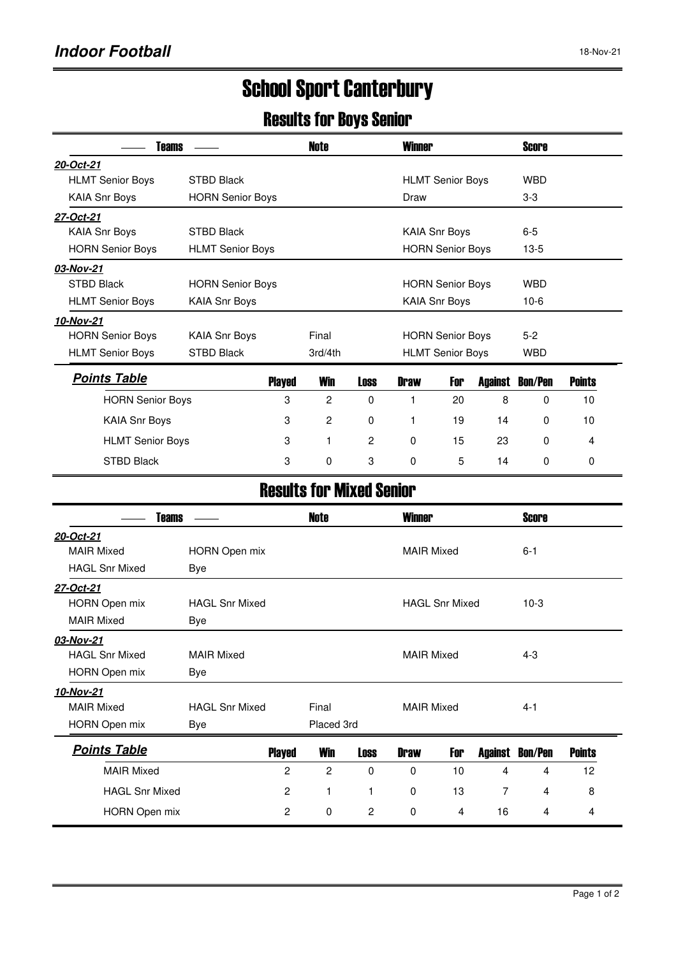## School Sport Canterbury

## Results for Boys Senior

| Teams                   |                         |               | Note         | <b>Winner</b> |                         |     |         | <b>Score</b>   |               |  |
|-------------------------|-------------------------|---------------|--------------|---------------|-------------------------|-----|---------|----------------|---------------|--|
| 20-Oct-21               |                         |               |              |               |                         |     |         |                |               |  |
| <b>HLMT Senior Boys</b> | <b>STBD Black</b>       |               |              |               | <b>HLMT Senior Boys</b> |     |         |                |               |  |
| <b>KAIA Snr Boys</b>    | <b>HORN Senior Boys</b> |               |              | Draw          |                         |     |         |                |               |  |
| 27-Oct-21               |                         |               |              |               |                         |     |         |                |               |  |
| <b>KAIA Snr Boys</b>    | <b>STBD Black</b>       |               |              |               | <b>KAIA Snr Boys</b>    |     |         |                |               |  |
| <b>HORN Senior Boys</b> | <b>HLMT Senior Boys</b> |               |              |               | <b>HORN Senior Boys</b> |     |         |                |               |  |
| 03-Nov-21               |                         |               |              |               |                         |     |         |                |               |  |
| <b>STBD Black</b>       | <b>HORN Senior Boys</b> |               |              |               | <b>HORN Senior Boys</b> |     |         |                |               |  |
| <b>HLMT Senior Boys</b> | <b>KAIA Snr Boys</b>    |               |              |               | <b>KAIA Snr Boys</b>    |     |         | $10-6$         |               |  |
| 10-Nov-21               |                         |               |              |               |                         |     |         |                |               |  |
| <b>HORN Senior Boys</b> | <b>KAIA Snr Boys</b>    |               | Final        |               | <b>HORN Senior Boys</b> |     |         | $5-2$          |               |  |
| <b>HLMT Senior Boys</b> | <b>STBD Black</b>       | 3rd/4th       |              |               | <b>HLMT Senior Boys</b> |     |         | <b>WBD</b>     |               |  |
| <b>Points Table</b>     |                         | <b>Played</b> | <b>Win</b>   | <b>Loss</b>   | <b>Draw</b>             | For | Against | <b>Bon/Pen</b> | <b>Points</b> |  |
| <b>HORN Senior Boys</b> |                         | 3             | 2            | $\Omega$      |                         | 20  | 8       | $\Omega$       | 10            |  |
| <b>KAIA Snr Boys</b>    |                         | 3             | 2            | $\Omega$      | 1                       | 19  | 14      | $\Omega$       | 10            |  |
| <b>HLMT Senior Boys</b> |                         | 3             | $\mathbf{1}$ | 2             | $\mathbf 0$             | 15  | 23      | $\Omega$       | 4             |  |
| <b>STBD Black</b>       |                         | 3             | 0            | 3             | $\Omega$                | 5   | 14      | $\Omega$       | 0             |  |

## Results for Mixed Senior

| Teams                 |                       | Note          |                            | <b>Winner</b>  |                   |                       |         | <b>Score</b>   |               |  |
|-----------------------|-----------------------|---------------|----------------------------|----------------|-------------------|-----------------------|---------|----------------|---------------|--|
| 20-Oct-21             |                       |               |                            |                |                   |                       |         |                |               |  |
| <b>MAIR Mixed</b>     | HORN Open mix         |               |                            |                | <b>MAIR Mixed</b> |                       |         | $6 - 1$        |               |  |
| <b>HAGL Snr Mixed</b> | Bye                   |               |                            |                |                   |                       |         |                |               |  |
| 27-Oct-21             |                       |               |                            |                |                   |                       |         |                |               |  |
| HORN Open mix         | <b>HAGL Snr Mixed</b> |               |                            |                |                   | <b>HAGL Snr Mixed</b> |         | $10-3$         |               |  |
| <b>MAIR Mixed</b>     | Bye                   |               |                            |                |                   |                       |         |                |               |  |
| 03-Nov-21             |                       |               |                            |                |                   |                       |         |                |               |  |
| <b>HAGL Snr Mixed</b> | <b>MAIR Mixed</b>     |               |                            |                | <b>MAIR Mixed</b> |                       |         | $4 - 3$        |               |  |
| <b>HORN Open mix</b>  | Bye                   |               |                            |                |                   |                       |         |                |               |  |
| 10-Nov-21             |                       |               |                            |                |                   |                       |         |                |               |  |
| <b>MAIR Mixed</b>     | <b>HAGL Snr Mixed</b> |               | Final<br><b>MAIR Mixed</b> |                |                   |                       | $4 - 1$ |                |               |  |
| <b>HORN Open mix</b>  | Bye                   |               | Placed 3rd                 |                |                   |                       |         |                |               |  |
| <b>Points Table</b>   |                       | <b>Played</b> | Win                        | Loss           | <b>Draw</b>       | For                   | Against | <b>Bon/Pen</b> | <b>Points</b> |  |
| <b>MAIR Mixed</b>     |                       | 2             | 2                          | $\Omega$       | 0                 | 10                    | 4       | 4              | 12            |  |
| <b>HAGL Snr Mixed</b> |                       | 2             | 1                          |                | $\Omega$          | 13                    | 7       | 4              | 8             |  |
| HORN Open mix         |                       | 2             | 0                          | $\overline{c}$ | 0                 | 4                     | 16      | 4              | 4             |  |